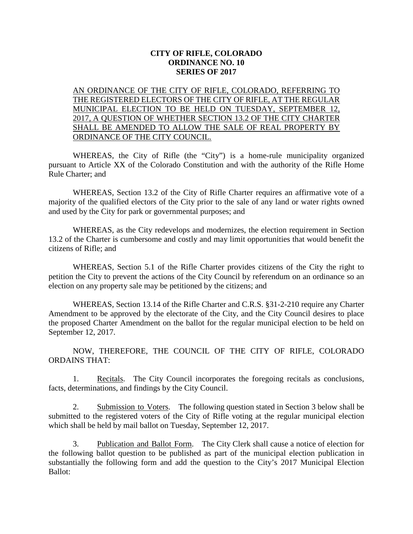## **CITY OF RIFLE, COLORADO ORDINANCE NO. 10 SERIES OF 2017**

AN ORDINANCE OF THE CITY OF RIFLE, COLORADO, REFERRING TO THE REGISTERED ELECTORS OF THE CITY OF RIFLE, AT THE REGULAR MUNICIPAL ELECTION TO BE HELD ON TUESDAY, SEPTEMBER 12, 2017, A QUESTION OF WHETHER SECTION 13.2 OF THE CITY CHARTER SHALL BE AMENDED TO ALLOW THE SALE OF REAL PROPERTY BY ORDINANCE OF THE CITY COUNCIL.

WHEREAS, the City of Rifle (the "City") is a home-rule municipality organized pursuant to Article XX of the Colorado Constitution and with the authority of the Rifle Home Rule Charter; and

WHEREAS, Section 13.2 of the City of Rifle Charter requires an affirmative vote of a majority of the qualified electors of the City prior to the sale of any land or water rights owned and used by the City for park or governmental purposes; and

WHEREAS, as the City redevelops and modernizes, the election requirement in Section 13.2 of the Charter is cumbersome and costly and may limit opportunities that would benefit the citizens of Rifle; and

WHEREAS, Section 5.1 of the Rifle Charter provides citizens of the City the right to petition the City to prevent the actions of the City Council by referendum on an ordinance so an election on any property sale may be petitioned by the citizens; and

WHEREAS, Section 13.14 of the Rifle Charter and C.R.S. §31-2-210 require any Charter Amendment to be approved by the electorate of the City, and the City Council desires to place the proposed Charter Amendment on the ballot for the regular municipal election to be held on September 12, 2017.

NOW, THEREFORE, THE COUNCIL OF THE CITY OF RIFLE, COLORADO ORDAINS THAT:

1. Recitals. The City Council incorporates the foregoing recitals as conclusions, facts, determinations, and findings by the City Council.

2. Submission to Voters. The following question stated in Section 3 below shall be submitted to the registered voters of the City of Rifle voting at the regular municipal election which shall be held by mail ballot on Tuesday, September 12, 2017.

3. Publication and Ballot Form. The City Clerk shall cause a notice of election for the following ballot question to be published as part of the municipal election publication in substantially the following form and add the question to the City's 2017 Municipal Election Ballot: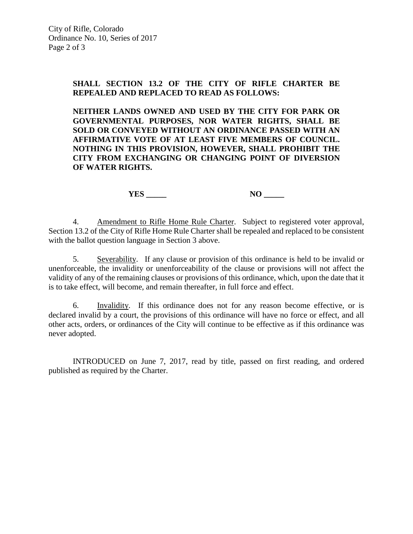## **SHALL SECTION 13.2 OF THE CITY OF RIFLE CHARTER BE REPEALED AND REPLACED TO READ AS FOLLOWS:**

**NEITHER LANDS OWNED AND USED BY THE CITY FOR PARK OR GOVERNMENTAL PURPOSES, NOR WATER RIGHTS, SHALL BE SOLD OR CONVEYED WITHOUT AN ORDINANCE PASSED WITH AN AFFIRMATIVE VOTE OF AT LEAST FIVE MEMBERS OF COUNCIL. NOTHING IN THIS PROVISION, HOWEVER, SHALL PROHIBIT THE CITY FROM EXCHANGING OR CHANGING POINT OF DIVERSION OF WATER RIGHTS.**

**YES** NO \_\_\_\_\_\_

4. Amendment to Rifle Home Rule Charter. Subject to registered voter approval, Section 13.2 of the City of Rifle Home Rule Charter shall be repealed and replaced to be consistent with the ballot question language in Section 3 above.

5. Severability. If any clause or provision of this ordinance is held to be invalid or unenforceable, the invalidity or unenforceability of the clause or provisions will not affect the validity of any of the remaining clauses or provisions of this ordinance, which, upon the date that it is to take effect, will become, and remain thereafter, in full force and effect.

6. Invalidity. If this ordinance does not for any reason become effective, or is declared invalid by a court, the provisions of this ordinance will have no force or effect, and all other acts, orders, or ordinances of the City will continue to be effective as if this ordinance was never adopted.

INTRODUCED on June 7, 2017, read by title, passed on first reading, and ordered published as required by the Charter.